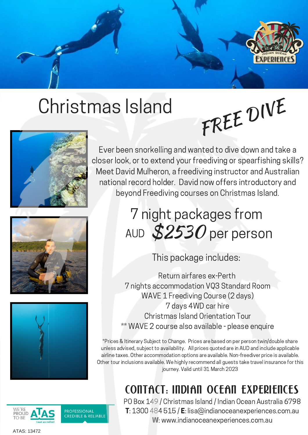

## Christmas Island



Ever been snorkelling and wanted to dive down and take a closer look, or to extend your freediving or spearfishing skills? Meet David Mulheron, a freediving instructor and Australian national record holder. David now offers introductory and beyond Freediving courses on Christmas Island.

FREE DIVE

## 7 night packages from AUD  $$2530$  per person

This package includes:

Return airfares ex-Perth 7 nights accommodation VQ3 Standard Room WAVE 1 Freediving Course (2 days) 7 days 4WD car hire Christmas Island Orientation Tour \*\* WAVE 2 course also available - please enquire

\*Prices & Itinerary Subject to Change. Prices are based on per person twin/double share unless advised, subject to availability. All prices quoted are in AUD and include applicable airline taxes. Other accommodation options are available. Non-freediver price is available. Other tour inclusions available. We highly recommend all guests take travel insurance for this journey. Valid until 31 March 2023

## Contact: Indian Ocean Experiences

PO Box 149 / Christmas Island / Indian Ocean Australia 6798 T: 1300 484 515 / E: lisa@indianoceanexperiences.com.au W: www.indianoceanexperiences.com.au







ATAS: 13472